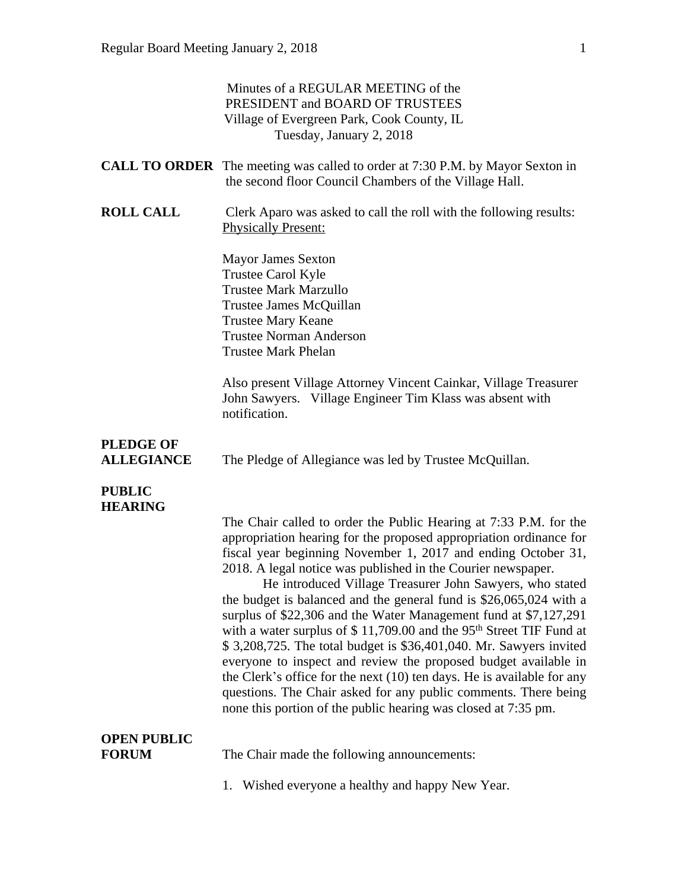|                                       | Minutes of a REGULAR MEETING of the<br>PRESIDENT and BOARD OF TRUSTEES<br>Village of Evergreen Park, Cook County, IL<br>Tuesday, January 2, 2018                                                                                                                                                                                                                                                                                                                                                                                                                                                                                                                                                                                                                                                                                                                                                                           |
|---------------------------------------|----------------------------------------------------------------------------------------------------------------------------------------------------------------------------------------------------------------------------------------------------------------------------------------------------------------------------------------------------------------------------------------------------------------------------------------------------------------------------------------------------------------------------------------------------------------------------------------------------------------------------------------------------------------------------------------------------------------------------------------------------------------------------------------------------------------------------------------------------------------------------------------------------------------------------|
|                                       | <b>CALL TO ORDER</b> The meeting was called to order at 7:30 P.M. by Mayor Sexton in<br>the second floor Council Chambers of the Village Hall.                                                                                                                                                                                                                                                                                                                                                                                                                                                                                                                                                                                                                                                                                                                                                                             |
| <b>ROLL CALL</b>                      | Clerk Aparo was asked to call the roll with the following results:<br><b>Physically Present:</b>                                                                                                                                                                                                                                                                                                                                                                                                                                                                                                                                                                                                                                                                                                                                                                                                                           |
|                                       | <b>Mayor James Sexton</b><br>Trustee Carol Kyle<br><b>Trustee Mark Marzullo</b><br>Trustee James McQuillan<br><b>Trustee Mary Keane</b><br><b>Trustee Norman Anderson</b><br><b>Trustee Mark Phelan</b>                                                                                                                                                                                                                                                                                                                                                                                                                                                                                                                                                                                                                                                                                                                    |
|                                       | Also present Village Attorney Vincent Cainkar, Village Treasurer<br>John Sawyers. Village Engineer Tim Klass was absent with<br>notification.                                                                                                                                                                                                                                                                                                                                                                                                                                                                                                                                                                                                                                                                                                                                                                              |
| <b>PLEDGE OF</b><br><b>ALLEGIANCE</b> | The Pledge of Allegiance was led by Trustee McQuillan.                                                                                                                                                                                                                                                                                                                                                                                                                                                                                                                                                                                                                                                                                                                                                                                                                                                                     |
| <b>PUBLIC</b><br><b>HEARING</b>       | The Chair called to order the Public Hearing at 7:33 P.M. for the<br>appropriation hearing for the proposed appropriation ordinance for<br>fiscal year beginning November 1, 2017 and ending October 31,<br>2018. A legal notice was published in the Courier newspaper.<br>He introduced Village Treasurer John Sawyers, who stated<br>the budget is balanced and the general fund is \$26,065,024 with a<br>surplus of \$22,306 and the Water Management fund at \$7,127,291<br>with a water surplus of $$11,709.00$ and the 95 <sup>th</sup> Street TIF Fund at<br>\$3,208,725. The total budget is \$36,401,040. Mr. Sawyers invited<br>everyone to inspect and review the proposed budget available in<br>the Clerk's office for the next (10) ten days. He is available for any<br>questions. The Chair asked for any public comments. There being<br>none this portion of the public hearing was closed at 7:35 pm. |
| <b>OPEN PUBLIC</b><br><b>FORUM</b>    | The Chair made the following announcements:                                                                                                                                                                                                                                                                                                                                                                                                                                                                                                                                                                                                                                                                                                                                                                                                                                                                                |
|                                       | Wished everyone a healthy and happy New Year.<br>1.                                                                                                                                                                                                                                                                                                                                                                                                                                                                                                                                                                                                                                                                                                                                                                                                                                                                        |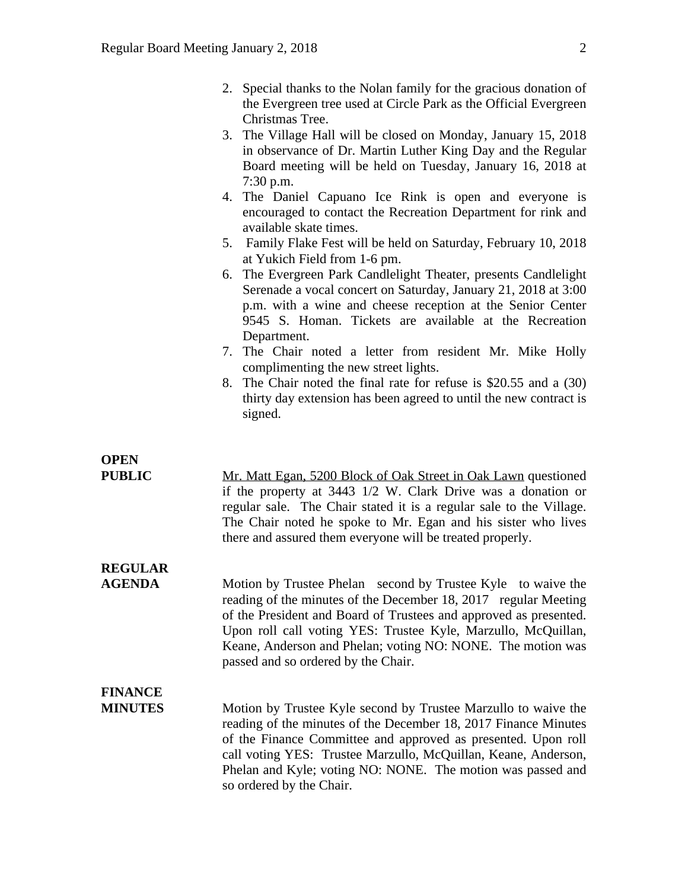- 2. Special thanks to the Nolan family for the gracious donation of the Evergreen tree used at Circle Park as the Official Evergreen Christmas Tree.
- 3. The Village Hall will be closed on Monday, January 15, 2018 in observance of Dr. Martin Luther King Day and the Regular Board meeting will be held on Tuesday, January 16, 2018 at 7:30 p.m.
- 4. The Daniel Capuano Ice Rink is open and everyone is encouraged to contact the Recreation Department for rink and available skate times.
- 5. Family Flake Fest will be held on Saturday, February 10, 2018 at Yukich Field from 1-6 pm.
- 6. The Evergreen Park Candlelight Theater, presents Candlelight Serenade a vocal concert on Saturday, January 21, 2018 at 3:00 p.m. with a wine and cheese reception at the Senior Center 9545 S. Homan. Tickets are available at the Recreation Department.
- 7. The Chair noted a letter from resident Mr. Mike Holly complimenting the new street lights.
- 8. The Chair noted the final rate for refuse is \$20.55 and a (30) thirty day extension has been agreed to until the new contract is signed.

### **OPEN**

**PUBLIC** Mr. Matt Egan, 5200 Block of Oak Street in Oak Lawn questioned if the property at 3443 1/2 W. Clark Drive was a donation or regular sale. The Chair stated it is a regular sale to the Village. The Chair noted he spoke to Mr. Egan and his sister who lives there and assured them everyone will be treated properly.

# **REGULAR**

**AGENDA** Motion by Trustee Phelan second by Trustee Kyle to waive the reading of the minutes of the December 18, 2017 regular Meeting of the President and Board of Trustees and approved as presented. Upon roll call voting YES: Trustee Kyle, Marzullo, McQuillan, Keane, Anderson and Phelan; voting NO: NONE. The motion was passed and so ordered by the Chair.

# **FINANCE**

**MINUTES** Motion by Trustee Kyle second by Trustee Marzullo to waive the reading of the minutes of the December 18, 2017 Finance Minutes of the Finance Committee and approved as presented. Upon roll call voting YES: Trustee Marzullo, McQuillan, Keane, Anderson, Phelan and Kyle; voting NO: NONE. The motion was passed and so ordered by the Chair.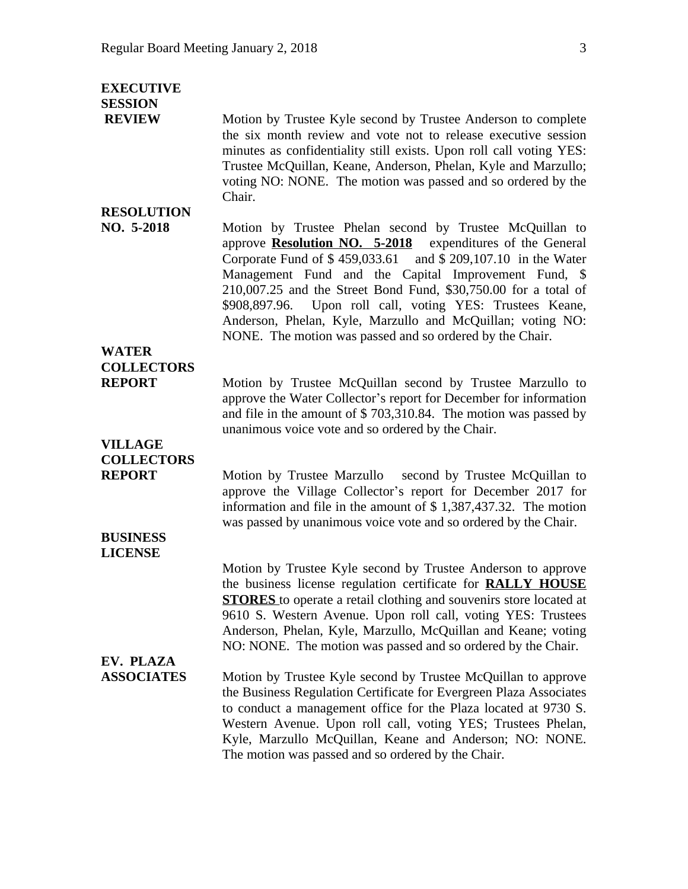| <b>EXECUTIVE</b><br><b>SESSION</b> |                                                                                                                                                                                                                                                                                                                                                                                                                                                                                                                  |
|------------------------------------|------------------------------------------------------------------------------------------------------------------------------------------------------------------------------------------------------------------------------------------------------------------------------------------------------------------------------------------------------------------------------------------------------------------------------------------------------------------------------------------------------------------|
| <b>REVIEW</b>                      | Motion by Trustee Kyle second by Trustee Anderson to complete<br>the six month review and vote not to release executive session<br>minutes as confidentiality still exists. Upon roll call voting YES:<br>Trustee McQuillan, Keane, Anderson, Phelan, Kyle and Marzullo;<br>voting NO: NONE. The motion was passed and so ordered by the<br>Chair.                                                                                                                                                               |
| <b>RESOLUTION</b>                  |                                                                                                                                                                                                                                                                                                                                                                                                                                                                                                                  |
| NO. 5-2018                         | Motion by Trustee Phelan second by Trustee McQuillan to<br>approve <b>Resolution NO. 5-2018</b> expenditures of the General<br>Corporate Fund of \$459,033.61 and \$209,107.10 in the Water<br>Management Fund and the Capital Improvement Fund, \$<br>210,007.25 and the Street Bond Fund, \$30,750.00 for a total of<br>Upon roll call, voting YES: Trustees Keane,<br>\$908,897.96.<br>Anderson, Phelan, Kyle, Marzullo and McQuillan; voting NO:<br>NONE. The motion was passed and so ordered by the Chair. |
| <b>WATER</b>                       |                                                                                                                                                                                                                                                                                                                                                                                                                                                                                                                  |
| <b>COLLECTORS</b>                  |                                                                                                                                                                                                                                                                                                                                                                                                                                                                                                                  |
| <b>REPORT</b>                      | Motion by Trustee McQuillan second by Trustee Marzullo to<br>approve the Water Collector's report for December for information<br>and file in the amount of $$703,310.84$ . The motion was passed by<br>unanimous voice vote and so ordered by the Chair.                                                                                                                                                                                                                                                        |
| <b>VILLAGE</b>                     |                                                                                                                                                                                                                                                                                                                                                                                                                                                                                                                  |
| <b>COLLECTORS</b>                  |                                                                                                                                                                                                                                                                                                                                                                                                                                                                                                                  |
| <b>REPORT</b>                      | Motion by Trustee Marzullo second by Trustee McQuillan to<br>approve the Village Collector's report for December 2017 for<br>information and file in the amount of $$1,387,437.32$ . The motion<br>was passed by unanimous voice vote and so ordered by the Chair.                                                                                                                                                                                                                                               |
| <b>BUSINESS</b><br><b>LICENSE</b>  |                                                                                                                                                                                                                                                                                                                                                                                                                                                                                                                  |
| EV. PLAZA                          | Motion by Trustee Kyle second by Trustee Anderson to approve<br>the business license regulation certificate for <b>RALLY HOUSE</b><br><b>STORES</b> to operate a retail clothing and souvenirs store located at<br>9610 S. Western Avenue. Upon roll call, voting YES: Trustees<br>Anderson, Phelan, Kyle, Marzullo, McQuillan and Keane; voting<br>NO: NONE. The motion was passed and so ordered by the Chair.                                                                                                 |
| <b>ASSOCIATES</b>                  | Motion by Trustee Kyle second by Trustee McQuillan to approve<br>the Business Regulation Certificate for Evergreen Plaza Associates<br>to conduct a management office for the Plaza located at 9730 S.<br>Western Avenue. Upon roll call, voting YES; Trustees Phelan,<br>Kyle, Marzullo McQuillan, Keane and Anderson; NO: NONE.<br>The motion was passed and so ordered by the Chair.                                                                                                                          |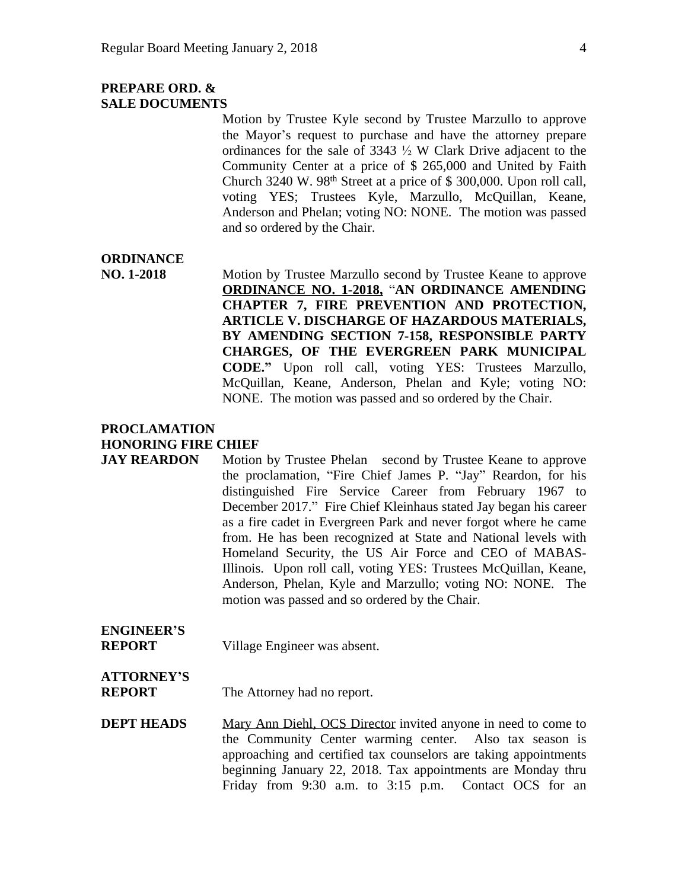#### **PREPARE ORD. & SALE DOCUMENTS**

Motion by Trustee Kyle second by Trustee Marzullo to approve the Mayor's request to purchase and have the attorney prepare ordinances for the sale of  $3343 \frac{1}{2}$  W Clark Drive adjacent to the Community Center at a price of \$ 265,000 and United by Faith Church 3240 W. 98<sup>th</sup> Street at a price of  $$300,000$ . Upon roll call, voting YES; Trustees Kyle, Marzullo, McQuillan, Keane, Anderson and Phelan; voting NO: NONE. The motion was passed and so ordered by the Chair.

#### **ORDINANCE**

**NO. 1-2018** Motion by Trustee Marzullo second by Trustee Keane to approve **ORDINANCE NO. 1-2018,** "**AN ORDINANCE AMENDING CHAPTER 7, FIRE PREVENTION AND PROTECTION, ARTICLE V. DISCHARGE OF HAZARDOUS MATERIALS, BY AMENDING SECTION 7-158, RESPONSIBLE PARTY CHARGES, OF THE EVERGREEN PARK MUNICIPAL CODE."** Upon roll call, voting YES: Trustees Marzullo, McQuillan, Keane, Anderson, Phelan and Kyle; voting NO: NONE. The motion was passed and so ordered by the Chair.

#### **PROCLAMATION HONORING FIRE CHIEF**

**JAY REARDON** Motion by Trustee Phelan second by Trustee Keane to approve the proclamation, "Fire Chief James P. "Jay" Reardon, for his distinguished Fire Service Career from February 1967 to December 2017." Fire Chief Kleinhaus stated Jay began his career as a fire cadet in Evergreen Park and never forgot where he came from. He has been recognized at State and National levels with Homeland Security, the US Air Force and CEO of MABAS-Illinois. Upon roll call, voting YES: Trustees McQuillan, Keane, Anderson, Phelan, Kyle and Marzullo; voting NO: NONE. The motion was passed and so ordered by the Chair.

#### **ENGINEER'S REPORT** Village Engineer was absent.

## **ATTORNEY'S**

**REPORT** The Attorney had no report.

**DEPT HEADS** Mary Ann Diehl, OCS Director invited anyone in need to come to the Community Center warming center. Also tax season is approaching and certified tax counselors are taking appointments beginning January 22, 2018. Tax appointments are Monday thru Friday from 9:30 a.m. to 3:15 p.m. Contact OCS for an